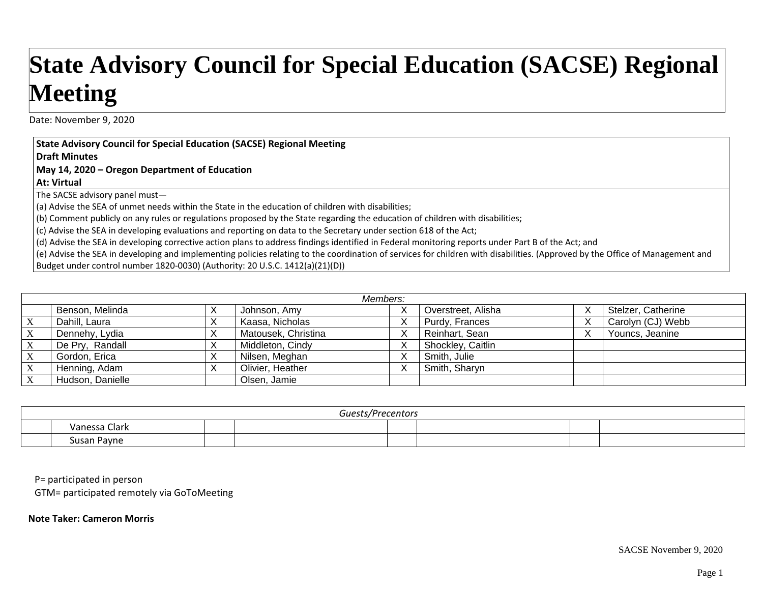## **State Advisory Council for Special Education (SACSE) Regional Meeting**

Date: November 9, 2020

**State Advisory Council for Special Education (SACSE) Regional Meeting**

**Draft Minutes**

**May 14, 2020 – Oregon Department of Education**

**At: Virtual**

The SACSE advisory panel must—

(a) Advise the SEA of unmet needs within the State in the education of children with disabilities;

(b) Comment publicly on any rules or regulations proposed by the State regarding the education of children with disabilities;

(c) Advise the SEA in developing evaluations and reporting on data to the Secretary under section 618 of the Act;

(d) Advise the SEA in developing corrective action plans to address findings identified in Federal monitoring reports under Part B of the Act; and

(e) Advise the SEA in developing and implementing policies relating to the coordination of services for children with disabilities. (Approved by the Office of Management and Budget under control number 1820‐0030) (Authority: 20 U.S.C. 1412(a)(21)(D))

| Members:                  |                  |           |                     |           |                    |   |                    |
|---------------------------|------------------|-----------|---------------------|-----------|--------------------|---|--------------------|
|                           | Benson, Melinda  | $\lambda$ | Johnson, Amy        | $\lambda$ | Overstreet, Alisha | ↗ | Stelzer, Catherine |
| $\boldsymbol{\mathrm{X}}$ | Dahill, Laura    |           | Kaasa, Nicholas     |           | Purdy, Frances     | ↗ | Carolyn (CJ) Webb  |
| $X_{\mathcal{I}}$         | Dennehy, Lydia   |           | Matousek, Christina |           | Reinhart, Sean     | ⋏ | Youncs, Jeanine    |
| $\mathbf{X}$              | De Pry, Randall  |           | Middleton, Cindy    |           | Shockley, Caitlin  |   |                    |
| $\mathbf{X}$              | Gordon, Erica    | $\lambda$ | Nilsen, Meghan      |           | Smith, Julie       |   |                    |
| $\boldsymbol{\mathrm{X}}$ | Henning, Adam    |           | Olivier, Heather    |           | Smith, Sharyn      |   |                    |
| X                         | Hudson, Danielle |           | Olsen, Jamie        |           |                    |   |                    |

| Guests/Precentors |                                            |  |  |  |  |  |
|-------------------|--------------------------------------------|--|--|--|--|--|
|                   | Vanessa C.<br>Clark                        |  |  |  |  |  |
|                   | $\overline{\phantom{a}}$<br>Pavne<br>Susan |  |  |  |  |  |

P= participated in person

GTM= participated remotely via GoToMeeting

**Note Taker: Cameron Morris**

SACSE November 9, 2020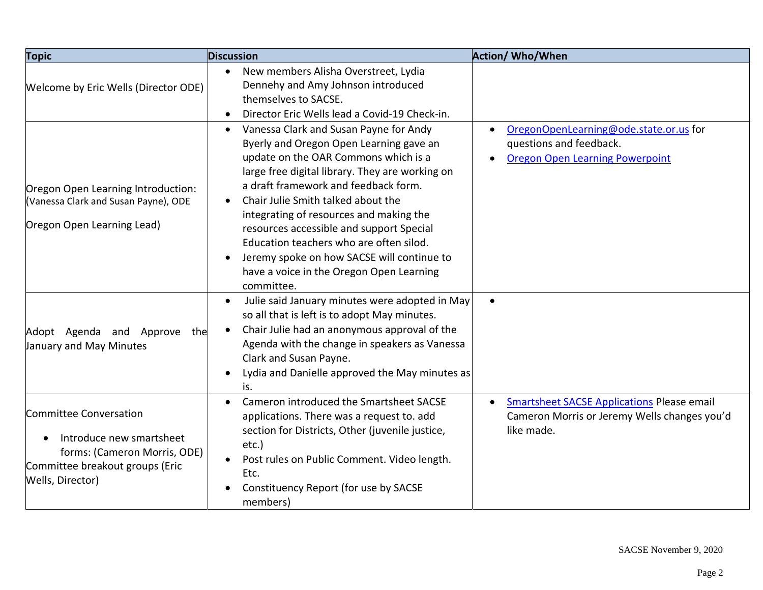| <b>Topic</b>                                                                                                                              | <b>Discussion</b>                                                                                                                                                                                                                                                                                                                                                                                                                                                                                                 | <b>Action/ Who/When</b>                                                                                                      |
|-------------------------------------------------------------------------------------------------------------------------------------------|-------------------------------------------------------------------------------------------------------------------------------------------------------------------------------------------------------------------------------------------------------------------------------------------------------------------------------------------------------------------------------------------------------------------------------------------------------------------------------------------------------------------|------------------------------------------------------------------------------------------------------------------------------|
| Welcome by Eric Wells (Director ODE)                                                                                                      | New members Alisha Overstreet, Lydia<br>$\bullet$<br>Dennehy and Amy Johnson introduced<br>themselves to SACSE.<br>Director Eric Wells lead a Covid-19 Check-in.<br>$\bullet$                                                                                                                                                                                                                                                                                                                                     |                                                                                                                              |
| Oregon Open Learning Introduction:<br>(Vanessa Clark and Susan Payne), ODE<br>Oregon Open Learning Lead)                                  | Vanessa Clark and Susan Payne for Andy<br>$\bullet$<br>Byerly and Oregon Open Learning gave an<br>update on the OAR Commons which is a<br>large free digital library. They are working on<br>a draft framework and feedback form.<br>Chair Julie Smith talked about the<br>integrating of resources and making the<br>resources accessible and support Special<br>Education teachers who are often silod.<br>Jeremy spoke on how SACSE will continue to<br>have a voice in the Oregon Open Learning<br>committee. | OregonOpenLearning@ode.state.or.us for<br>questions and feedback.<br><b>Oregon Open Learning Powerpoint</b>                  |
| Adopt Agenda and Approve the<br>January and May Minutes                                                                                   | Julie said January minutes were adopted in May<br>$\bullet$<br>so all that is left is to adopt May minutes.<br>Chair Julie had an anonymous approval of the<br>Agenda with the change in speakers as Vanessa<br>Clark and Susan Payne.<br>Lydia and Danielle approved the May minutes as<br>$\bullet$<br>is.                                                                                                                                                                                                      |                                                                                                                              |
| Committee Conversation<br>Introduce new smartsheet<br>forms: (Cameron Morris, ODE)<br>Committee breakout groups (Eric<br>Wells, Director) | Cameron introduced the Smartsheet SACSE<br>$\bullet$<br>applications. There was a request to. add<br>section for Districts, Other (juvenile justice,<br>etc.)<br>Post rules on Public Comment. Video length.<br>$\bullet$<br>Etc.<br>Constituency Report (for use by SACSE<br>members)                                                                                                                                                                                                                            | <b>Smartsheet SACSE Applications Please email</b><br>$\bullet$<br>Cameron Morris or Jeremy Wells changes you'd<br>like made. |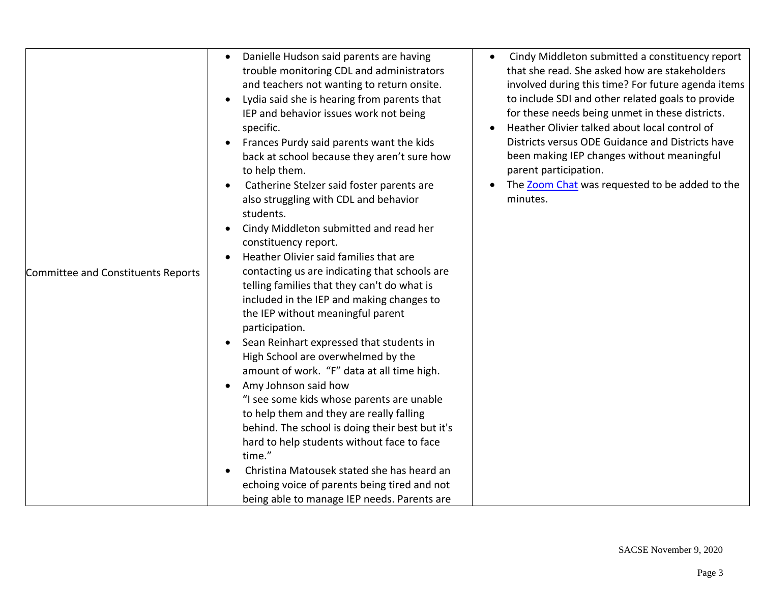| Committee and Constituents Reports | Danielle Hudson said parents are having<br>$\bullet$<br>trouble monitoring CDL and administrators<br>and teachers not wanting to return onsite.<br>Lydia said she is hearing from parents that<br>$\bullet$<br>IEP and behavior issues work not being<br>specific.<br>Frances Purdy said parents want the kids<br>$\bullet$<br>back at school because they aren't sure how<br>to help them.<br>Catherine Stelzer said foster parents are<br>also struggling with CDL and behavior<br>students.<br>Cindy Middleton submitted and read her<br>constituency report.<br>Heather Olivier said families that are<br>contacting us are indicating that schools are<br>telling families that they can't do what is<br>included in the IEP and making changes to<br>the IEP without meaningful parent<br>participation.<br>Sean Reinhart expressed that students in<br>$\bullet$<br>High School are overwhelmed by the<br>amount of work. "F" data at all time high.<br>Amy Johnson said how<br>"I see some kids whose parents are unable<br>to help them and they are really falling<br>behind. The school is doing their best but it's<br>hard to help students without face to face<br>time."<br>Christina Matousek stated she has heard an<br>echoing voice of parents being tired and not<br>being able to manage IEP needs. Parents are | Cindy Middleton submitted a constituency report<br>that she read. She asked how are stakeholders<br>involved during this time? For future agenda items<br>to include SDI and other related goals to provide<br>for these needs being unmet in these districts.<br>Heather Olivier talked about local control of<br>Districts versus ODE Guidance and Districts have<br>been making IEP changes without meaningful<br>parent participation.<br>The Zoom Chat was requested to be added to the<br>minutes. |
|------------------------------------|--------------------------------------------------------------------------------------------------------------------------------------------------------------------------------------------------------------------------------------------------------------------------------------------------------------------------------------------------------------------------------------------------------------------------------------------------------------------------------------------------------------------------------------------------------------------------------------------------------------------------------------------------------------------------------------------------------------------------------------------------------------------------------------------------------------------------------------------------------------------------------------------------------------------------------------------------------------------------------------------------------------------------------------------------------------------------------------------------------------------------------------------------------------------------------------------------------------------------------------------------------------------------------------------------------------------------------------|----------------------------------------------------------------------------------------------------------------------------------------------------------------------------------------------------------------------------------------------------------------------------------------------------------------------------------------------------------------------------------------------------------------------------------------------------------------------------------------------------------|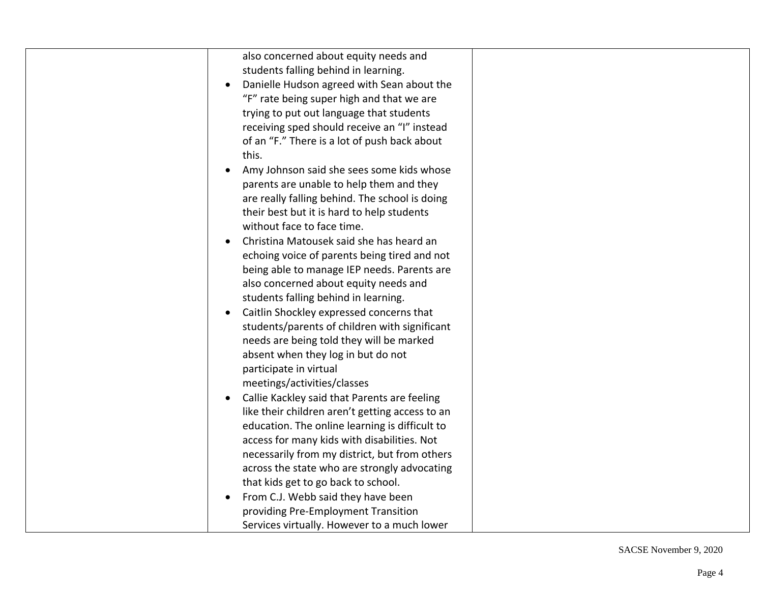| also concerned about equity needs and           |
|-------------------------------------------------|
| students falling behind in learning.            |
| Danielle Hudson agreed with Sean about the      |
| "F" rate being super high and that we are       |
| trying to put out language that students        |
| receiving sped should receive an "I" instead    |
| of an "F." There is a lot of push back about    |
| this.                                           |
| Amy Johnson said she sees some kids whose       |
| parents are unable to help them and they        |
| are really falling behind. The school is doing  |
| their best but it is hard to help students      |
| without face to face time.                      |
| Christina Matousek said she has heard an        |
| echoing voice of parents being tired and not    |
| being able to manage IEP needs. Parents are     |
| also concerned about equity needs and           |
| students falling behind in learning.            |
| Caitlin Shockley expressed concerns that        |
| students/parents of children with significant   |
| needs are being told they will be marked        |
| absent when they log in but do not              |
| participate in virtual                          |
| meetings/activities/classes                     |
| Callie Kackley said that Parents are feeling    |
| like their children aren't getting access to an |
| education. The online learning is difficult to  |
| access for many kids with disabilities. Not     |
| necessarily from my district, but from others   |
| across the state who are strongly advocating    |
| that kids get to go back to school.             |
| From C.J. Webb said they have been              |
| providing Pre-Employment Transition             |
| Services virtually. However to a much lower     |
|                                                 |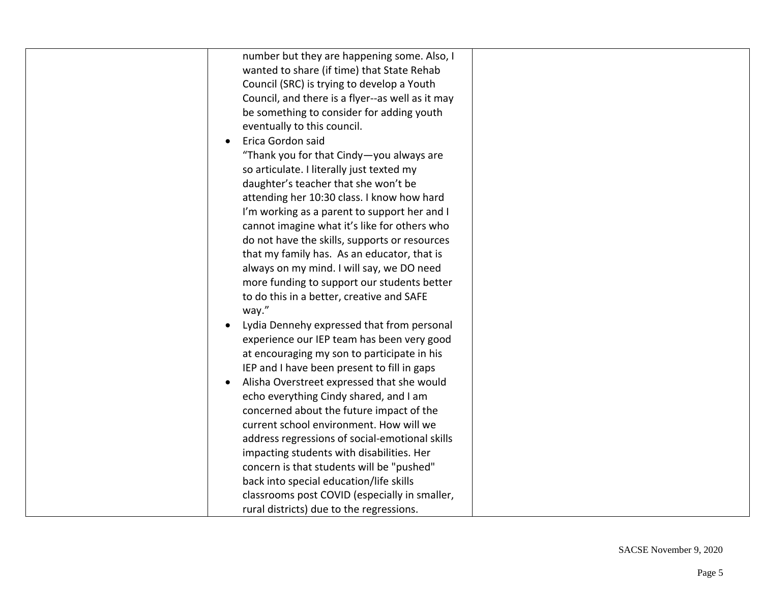| number but they are happening some. Also, I      |
|--------------------------------------------------|
| wanted to share (if time) that State Rehab       |
| Council (SRC) is trying to develop a Youth       |
| Council, and there is a flyer--as well as it may |
| be something to consider for adding youth        |
| eventually to this council.                      |
| Erica Gordon said                                |
| "Thank you for that Cindy-you always are         |
| so articulate. I literally just texted my        |
| daughter's teacher that she won't be             |
| attending her 10:30 class. I know how hard       |
| I'm working as a parent to support her and I     |
| cannot imagine what it's like for others who     |
| do not have the skills, supports or resources    |
| that my family has. As an educator, that is      |
| always on my mind. I will say, we DO need        |
| more funding to support our students better      |
| to do this in a better, creative and SAFE        |
| way."                                            |
| Lydia Dennehy expressed that from personal       |
| experience our IEP team has been very good       |
| at encouraging my son to participate in his      |
| IEP and I have been present to fill in gaps      |
|                                                  |
| Alisha Overstreet expressed that she would       |
| echo everything Cindy shared, and I am           |
| concerned about the future impact of the         |
| current school environment. How will we          |
| address regressions of social-emotional skills   |
| impacting students with disabilities. Her        |
| concern is that students will be "pushed"        |
| back into special education/life skills          |
| classrooms post COVID (especially in smaller,    |
| rural districts) due to the regressions.         |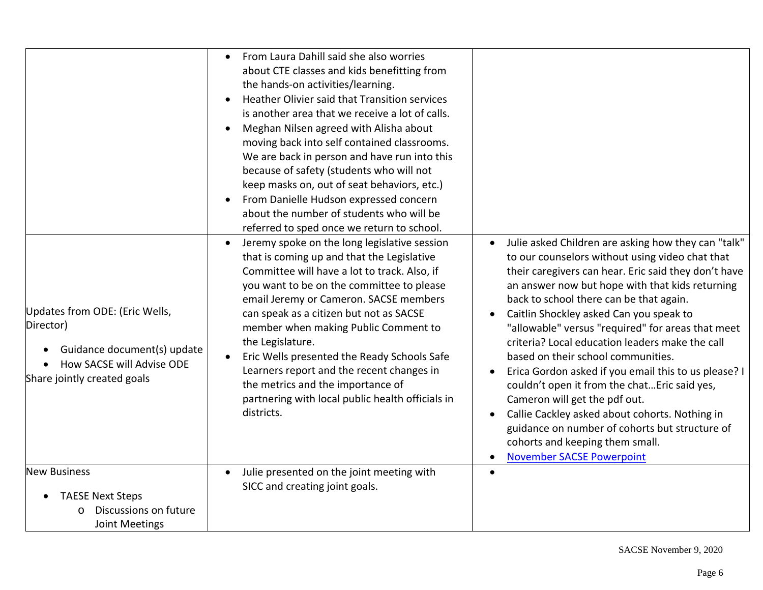| Updates from ODE: (Eric Wells,<br>Director)<br>Guidance document(s) update<br>How SACSE will Advise ODE<br>Share jointly created goals | From Laura Dahill said she also worries<br>$\bullet$<br>about CTE classes and kids benefitting from<br>the hands-on activities/learning.<br>Heather Olivier said that Transition services<br>is another area that we receive a lot of calls.<br>Meghan Nilsen agreed with Alisha about<br>moving back into self contained classrooms.<br>We are back in person and have run into this<br>because of safety (students who will not<br>keep masks on, out of seat behaviors, etc.)<br>From Danielle Hudson expressed concern<br>about the number of students who will be<br>referred to sped once we return to school.<br>Jeremy spoke on the long legislative session<br>that is coming up and that the Legislative<br>Committee will have a lot to track. Also, if<br>you want to be on the committee to please<br>email Jeremy or Cameron. SACSE members<br>can speak as a citizen but not as SACSE<br>member when making Public Comment to<br>the Legislature.<br>Eric Wells presented the Ready Schools Safe<br>Learners report and the recent changes in<br>the metrics and the importance of<br>partnering with local public health officials in<br>districts. | Julie asked Children are asking how they can "talk"<br>$\bullet$<br>to our counselors without using video chat that<br>their caregivers can hear. Eric said they don't have<br>an answer now but hope with that kids returning<br>back to school there can be that again.<br>Caitlin Shockley asked Can you speak to<br>$\bullet$<br>"allowable" versus "required" for areas that meet<br>criteria? Local education leaders make the call<br>based on their school communities.<br>Erica Gordon asked if you email this to us please? I<br>$\bullet$<br>couldn't open it from the chat Eric said yes,<br>Cameron will get the pdf out.<br>Callie Cackley asked about cohorts. Nothing in<br>$\bullet$<br>guidance on number of cohorts but structure of<br>cohorts and keeping them small. |
|----------------------------------------------------------------------------------------------------------------------------------------|---------------------------------------------------------------------------------------------------------------------------------------------------------------------------------------------------------------------------------------------------------------------------------------------------------------------------------------------------------------------------------------------------------------------------------------------------------------------------------------------------------------------------------------------------------------------------------------------------------------------------------------------------------------------------------------------------------------------------------------------------------------------------------------------------------------------------------------------------------------------------------------------------------------------------------------------------------------------------------------------------------------------------------------------------------------------------------------------------------------------------------------------------------------------|--------------------------------------------------------------------------------------------------------------------------------------------------------------------------------------------------------------------------------------------------------------------------------------------------------------------------------------------------------------------------------------------------------------------------------------------------------------------------------------------------------------------------------------------------------------------------------------------------------------------------------------------------------------------------------------------------------------------------------------------------------------------------------------------|
| <b>New Business</b><br><b>TAESE Next Steps</b><br>$\bullet$<br>Discussions on future<br>Joint Meetings                                 | Julie presented on the joint meeting with<br>$\bullet$<br>SICC and creating joint goals.                                                                                                                                                                                                                                                                                                                                                                                                                                                                                                                                                                                                                                                                                                                                                                                                                                                                                                                                                                                                                                                                            | <b>November SACSE Powerpoint</b><br>$\bullet$                                                                                                                                                                                                                                                                                                                                                                                                                                                                                                                                                                                                                                                                                                                                              |

SACSE November 9, 2020